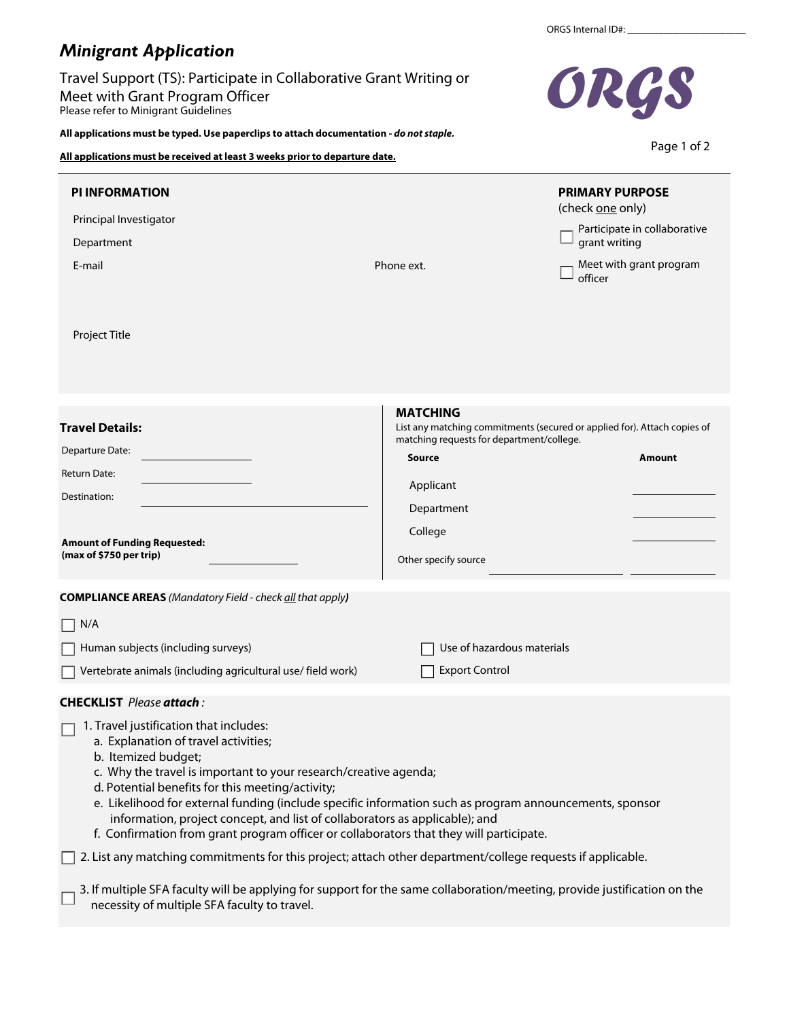## *Minigrant Application*

Travel Support (TS): Participate in Collaborative Grant Writing or Meet with Grant Program Officer Please refer to Minigrant Guidelines

**All applications must be typed. Use paperclips to attach documentation -** *do not staple.*

**All applications must be received at least 3 weeks prior to departure date.**

| <b>PI INFORMATION</b>                                                                                                                                                                                                                                                                                                                                                                                                                                                                                              |                                                                                                                                          | <b>PRIMARY PURPOSE</b> |                              |
|--------------------------------------------------------------------------------------------------------------------------------------------------------------------------------------------------------------------------------------------------------------------------------------------------------------------------------------------------------------------------------------------------------------------------------------------------------------------------------------------------------------------|------------------------------------------------------------------------------------------------------------------------------------------|------------------------|------------------------------|
| Principal Investigator                                                                                                                                                                                                                                                                                                                                                                                                                                                                                             |                                                                                                                                          | (check one only)       |                              |
| Department                                                                                                                                                                                                                                                                                                                                                                                                                                                                                                         |                                                                                                                                          | grant writing          | Participate in collaborative |
| E-mail                                                                                                                                                                                                                                                                                                                                                                                                                                                                                                             | Meet with grant program<br>Phone ext.<br>officer                                                                                         |                        |                              |
| Project Title                                                                                                                                                                                                                                                                                                                                                                                                                                                                                                      |                                                                                                                                          |                        |                              |
|                                                                                                                                                                                                                                                                                                                                                                                                                                                                                                                    |                                                                                                                                          |                        |                              |
| <b>Travel Details:</b>                                                                                                                                                                                                                                                                                                                                                                                                                                                                                             | <b>MATCHING</b><br>List any matching commitments (secured or applied for). Attach copies of<br>matching requests for department/college. |                        |                              |
| Departure Date:                                                                                                                                                                                                                                                                                                                                                                                                                                                                                                    | <b>Source</b>                                                                                                                            |                        | Amount                       |
| Return Date:                                                                                                                                                                                                                                                                                                                                                                                                                                                                                                       | Applicant                                                                                                                                |                        |                              |
| Destination:                                                                                                                                                                                                                                                                                                                                                                                                                                                                                                       | Department                                                                                                                               |                        |                              |
| <b>Amount of Funding Requested:</b>                                                                                                                                                                                                                                                                                                                                                                                                                                                                                | College                                                                                                                                  |                        |                              |
| (max of \$750 per trip)                                                                                                                                                                                                                                                                                                                                                                                                                                                                                            | Other specify source                                                                                                                     |                        |                              |
| <b>COMPLIANCE AREAS</b> (Mandatory Field - check all that apply)                                                                                                                                                                                                                                                                                                                                                                                                                                                   |                                                                                                                                          |                        |                              |
| N/A                                                                                                                                                                                                                                                                                                                                                                                                                                                                                                                |                                                                                                                                          |                        |                              |
| Human subjects (including surveys)                                                                                                                                                                                                                                                                                                                                                                                                                                                                                 | Use of hazardous materials                                                                                                               |                        |                              |
| Vertebrate animals (including agricultural use/ field work)                                                                                                                                                                                                                                                                                                                                                                                                                                                        | <b>Export Control</b>                                                                                                                    |                        |                              |
| <b>CHECKLIST</b> Please attach:                                                                                                                                                                                                                                                                                                                                                                                                                                                                                    |                                                                                                                                          |                        |                              |
| 1. Travel justification that includes:<br>a. Explanation of travel activities;<br>b. Itemized budget;<br>c. Why the travel is important to your research/creative agenda;<br>d. Potential benefits for this meeting/activity;<br>e. Likelihood for external funding (include specific information such as program announcements, sponsor<br>information, project concept, and list of collaborators as applicable); and<br>f. Confirmation from grant program officer or collaborators that they will participate. |                                                                                                                                          |                        |                              |
| 2. List any matching commitments for this project; attach other department/college requests if applicable.                                                                                                                                                                                                                                                                                                                                                                                                         |                                                                                                                                          |                        |                              |
| 3. If multiple SFA faculty will be applying for support for the same collaboration/meeting, provide justification on the<br>necessity of multiple SFA faculty to travel.                                                                                                                                                                                                                                                                                                                                           |                                                                                                                                          |                        |                              |



Page 1 of 2